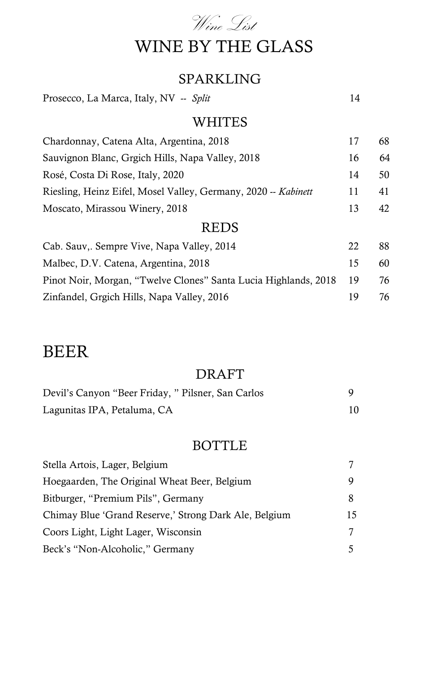

#### SPARKLING

Prosecco, La Marca, Italy, NV -- *Split* 14

#### WHITES

| Chardonnay, Catena Alta, Argentina, 2018                       |    | 68 |
|----------------------------------------------------------------|----|----|
| Sauvignon Blanc, Grgich Hills, Napa Valley, 2018               | 16 | 64 |
| Rosé, Costa Di Rose, Italy, 2020                               | 14 | 50 |
| Riesling, Heinz Eifel, Mosel Valley, Germany, 2020 -- Kabinett | 11 | 41 |
| Moscato, Mirassou Winery, 2018                                 |    | 42 |

#### REDS

| Cab. Sauv,. Sempre Vive, Napa Valley, 2014                         | 22  | 88. |
|--------------------------------------------------------------------|-----|-----|
| Malbec, D.V. Catena, Argentina, 2018                               | 15  | 60. |
| Pinot Noir, Morgan, "Twelve Clones" Santa Lucia Highlands, 2018 19 |     | 76  |
| Zinfandel, Grgich Hills, Napa Valley, 2016                         | 19. | 76. |

## BEER

#### DRAFT

| Devil's Canyon "Beer Friday, " Pilsner, San Carlos |  |
|----------------------------------------------------|--|
| Lagunitas IPA, Petaluma, CA                        |  |

#### BOTTLE

| Stella Artois, Lager, Belgium                         |    |
|-------------------------------------------------------|----|
| Hoegaarden, The Original Wheat Beer, Belgium          | 9  |
| Bitburger, "Premium Pils", Germany                    | 8  |
| Chimay Blue 'Grand Reserve,' Strong Dark Ale, Belgium | 15 |
| Coors Light, Light Lager, Wisconsin                   | 7  |
| Beck's "Non-Alcoholic," Germany                       |    |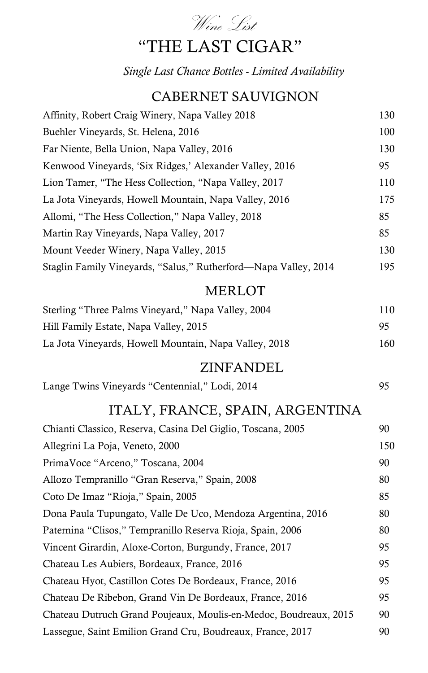

## "THE LAST CIGAR"

*Single Last Chance Bottles - Limited Availability*

### CABERNET SAUVIGNON

| Affinity, Robert Craig Winery, Napa Valley 2018                  | 130 |
|------------------------------------------------------------------|-----|
| Buehler Vineyards, St. Helena, 2016                              | 100 |
| Far Niente, Bella Union, Napa Valley, 2016                       | 130 |
| Kenwood Vineyards, 'Six Ridges,' Alexander Valley, 2016          | 95  |
| Lion Tamer, "The Hess Collection, "Napa Valley, 2017             | 110 |
| La Jota Vineyards, Howell Mountain, Napa Valley, 2016            | 175 |
| Allomi, "The Hess Collection," Napa Valley, 2018                 | 85  |
| Martin Ray Vineyards, Napa Valley, 2017                          | 85  |
| Mount Veeder Winery, Napa Valley, 2015                           | 130 |
| Staglin Family Vineyards, "Salus," Rutherford—Napa Valley, 2014  | 195 |
| <b>MERLOT</b>                                                    |     |
| Sterling "Three Palms Vineyard," Napa Valley, 2004               | 110 |
| Hill Family Estate, Napa Valley, 2015                            | 95  |
| La Jota Vineyards, Howell Mountain, Napa Valley, 2018            | 160 |
| ZINFANDEL                                                        |     |
| Lange Twins Vineyards "Centennial," Lodi, 2014                   | 95  |
| ITALY, FRANCE, SPAIN, ARGENTINA                                  |     |
| Chianti Classico, Reserva, Casina Del Giglio, Toscana, 2005      | 90  |
| Allegrini La Poja, Veneto, 2000                                  | 150 |
| PrimaVoce "Arceno," Toscana, 2004                                | 90  |
| Allozo Tempranillo "Gran Reserva," Spain, 2008                   | 80  |
| Coto De Imaz "Rioja," Spain, 2005                                | 85  |
| Dona Paula Tupungato, Valle De Uco, Mendoza Argentina, 2016      | 80  |
| Paternina "Clisos," Tempranillo Reserva Rioja, Spain, 2006       | 80  |
| Vincent Girardin, Aloxe-Corton, Burgundy, France, 2017           | 95  |
| Chateau Les Aubiers, Bordeaux, France, 2016                      | 95  |
| Chateau Hyot, Castillon Cotes De Bordeaux, France, 2016          | 95  |
| Chateau De Ribebon, Grand Vin De Bordeaux, France, 2016          | 95  |
| Chateau Dutruch Grand Poujeaux, Moulis-en-Medoc, Boudreaux, 2015 | 90  |
| Lassegue, Saint Emilion Grand Cru, Boudreaux, France, 2017       | 90  |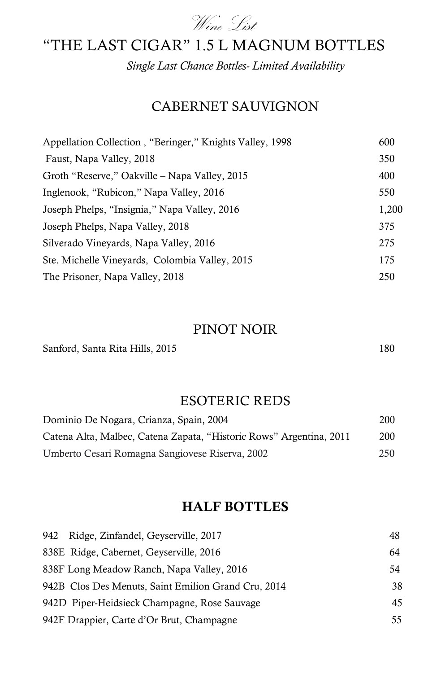

### "THE LAST CIGAR" 1.5 L MAGNUM BOTTLES

*Single Last Chance Bottles- Limited Availability*

### CABERNET SAUVIGNON

| Appellation Collection, "Beringer," Knights Valley, 1998 | 600   |
|----------------------------------------------------------|-------|
| Faust, Napa Valley, 2018                                 | 350   |
| Groth "Reserve," Oakville – Napa Valley, 2015            | 400   |
| Inglenook, "Rubicon," Napa Valley, 2016                  | 550   |
| Joseph Phelps, "Insignia," Napa Valley, 2016             | 1,200 |
| Joseph Phelps, Napa Valley, 2018                         | 375   |
| Silverado Vineyards, Napa Valley, 2016                   | 275   |
| Ste. Michelle Vineyards, Colombia Valley, 2015           | 175   |
| The Prisoner, Napa Valley, 2018                          | 250   |

#### PINOT NOIR

Sanford, Santa Rita Hills, 2015 180

#### ESOTERIC REDS

| Dominio De Nogara, Crianza, Spain, 2004                             | 200 |
|---------------------------------------------------------------------|-----|
| Catena Alta, Malbec, Catena Zapata, "Historic Rows" Argentina, 2011 | 200 |
| Umberto Cesari Romagna Sangiovese Riserva, 2002                     | 250 |

#### HALF BOTTLES

| 942 Ridge, Zinfandel, Geyserville, 2017             | 48 |
|-----------------------------------------------------|----|
| 838E Ridge, Cabernet, Geyserville, 2016             | 64 |
| 838F Long Meadow Ranch, Napa Valley, 2016           | 54 |
| 942B Clos Des Menuts, Saint Emilion Grand Cru, 2014 | 38 |
| 942D Piper-Heidsieck Champagne, Rose Sauvage        | 45 |
| 942F Drappier, Carte d'Or Brut, Champagne           | 55 |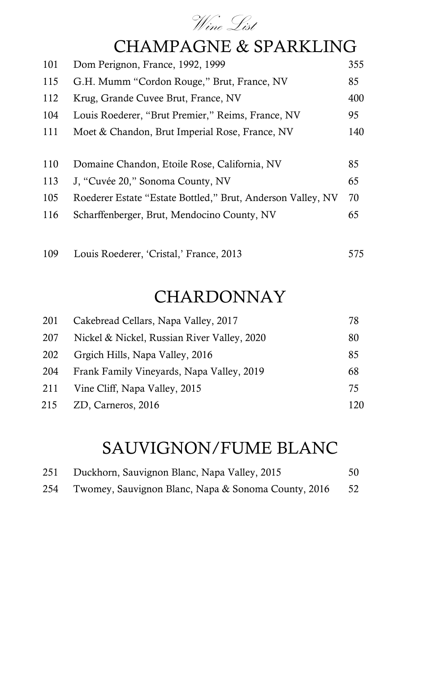

## CHAMPAGNE & SPARKLING

| 101 | Dom Perignon, France, 1992, 1999                            | 355  |
|-----|-------------------------------------------------------------|------|
| 115 | G.H. Mumm "Cordon Rouge," Brut, France, NV                  | 85   |
| 112 | Krug, Grande Cuvee Brut, France, NV                         | 400  |
| 104 | Louis Roederer, "Brut Premier," Reims, France, NV           | 95   |
| 111 | Moet & Chandon, Brut Imperial Rose, France, NV              | 140  |
|     |                                                             |      |
| 110 | Domaine Chandon, Etoile Rose, California, NV                | 85   |
| 113 | J. "Cuvée 20," Sonoma County, NV                            | 65   |
| 105 | Roederer Estate "Estate Bottled," Brut, Anderson Valley, NV | 70   |
| 116 | Scharffenberger, Brut, Mendocino County, NV                 | 65   |
|     |                                                             |      |
| 109 | Louis Roederer, 'Cristal,' France, 2013                     | 575. |

## CHARDONNAY

| 201 | Cakebread Cellars, Napa Valley, 2017        | 78  |
|-----|---------------------------------------------|-----|
| 207 | Nickel & Nickel, Russian River Valley, 2020 | 80  |
| 202 | Grgich Hills, Napa Valley, 2016             | 85  |
| 204 | Frank Family Vineyards, Napa Valley, 2019   | 68  |
| 211 | Vine Cliff, Napa Valley, 2015               | 75  |
| 215 | ZD, Carneros, 2016                          | 120 |

# SAUVIGNON/FUME BLANC

|     | 251 Duckhorn, Sauvignon Blanc, Napa Valley, 2015    | 50   |
|-----|-----------------------------------------------------|------|
| 254 | Twomey, Sauvignon Blanc, Napa & Sonoma County, 2016 | - 52 |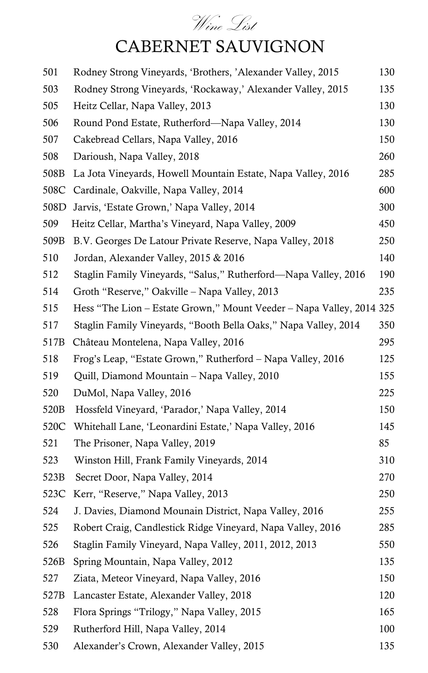# Wine List CABERNET SAUVIGNON

| 501              | Rodney Strong Vineyards, 'Brothers, 'Alexander Valley, 2015          | 130 |
|------------------|----------------------------------------------------------------------|-----|
| 503              | Rodney Strong Vineyards, 'Rockaway,' Alexander Valley, 2015          | 135 |
| 505              | Heitz Cellar, Napa Valley, 2013                                      | 130 |
| 506              | Round Pond Estate, Rutherford—Napa Valley, 2014                      | 130 |
| 507              | Cakebread Cellars, Napa Valley, 2016                                 | 150 |
| 508              | Darioush, Napa Valley, 2018                                          | 260 |
| 508B             | La Jota Vineyards, Howell Mountain Estate, Napa Valley, 2016         | 285 |
| 508C             | Cardinale, Oakville, Napa Valley, 2014                               | 600 |
| 508D             | Jarvis, 'Estate Grown,' Napa Valley, 2014                            | 300 |
| 509              | Heitz Cellar, Martha's Vineyard, Napa Valley, 2009                   | 450 |
| 509B             | B.V. Georges De Latour Private Reserve, Napa Valley, 2018            | 250 |
| 510              | Jordan, Alexander Valley, 2015 & 2016                                | 140 |
| 512              | Staglin Family Vineyards, "Salus," Rutherford—Napa Valley, 2016      | 190 |
| 514              | Groth "Reserve," Oakville – Napa Valley, 2013                        | 235 |
| 515              | Hess "The Lion - Estate Grown," Mount Veeder - Napa Valley, 2014 325 |     |
| 517              | Staglin Family Vineyards, "Booth Bella Oaks," Napa Valley, 2014      | 350 |
| 517B             | Château Montelena, Napa Valley, 2016                                 | 295 |
| 518              | Frog's Leap, "Estate Grown," Rutherford – Napa Valley, 2016          | 125 |
| 519              | Quill, Diamond Mountain – Napa Valley, 2010                          | 155 |
| 520              | DuMol, Napa Valley, 2016                                             | 225 |
| 520 <sub>B</sub> | Hossfeld Vineyard, 'Parador,' Napa Valley, 2014                      | 150 |
| 520C             | Whitehall Lane, 'Leonardini Estate,' Napa Valley, 2016               | 145 |
| 521              | The Prisoner, Napa Valley, 2019                                      | 85  |
| 523              | Winston Hill, Frank Family Vineyards, 2014                           | 310 |
| 523B             | Secret Door, Napa Valley, 2014                                       | 270 |
| 523C             | Kerr, "Reserve," Napa Valley, 2013                                   | 250 |
| 524              | J. Davies, Diamond Mounain District, Napa Valley, 2016               | 255 |
| 525              | Robert Craig, Candlestick Ridge Vineyard, Napa Valley, 2016          | 285 |
| 526              | Staglin Family Vineyard, Napa Valley, 2011, 2012, 2013               | 550 |
| 526B             | Spring Mountain, Napa Valley, 2012                                   | 135 |
| 527              | Ziata, Meteor Vineyard, Napa Valley, 2016                            | 150 |
| 527B             | Lancaster Estate, Alexander Valley, 2018                             | 120 |
| 528              | Flora Springs "Trilogy," Napa Valley, 2015                           | 165 |
| 529              | Rutherford Hill, Napa Valley, 2014                                   | 100 |
| 530              | Alexander's Crown, Alexander Valley, 2015                            | 135 |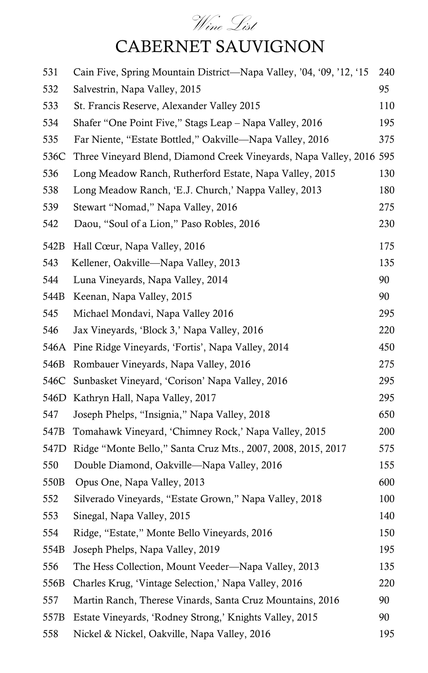# Wine List CABERNET SAUVIGNON

| 531              | Cain Five, Spring Mountain District—Napa Valley, '04, '09, '12, '15  | 240 |
|------------------|----------------------------------------------------------------------|-----|
| 532              | Salvestrin, Napa Valley, 2015                                        | 95  |
| 533              | St. Francis Reserve, Alexander Valley 2015                           | 110 |
| 534              | Shafer "One Point Five," Stags Leap – Napa Valley, 2016              | 195 |
| 535              | Far Niente, "Estate Bottled," Oakville—Napa Valley, 2016             | 375 |
| 536C             | Three Vineyard Blend, Diamond Creek Vineyards, Napa Valley, 2016 595 |     |
| 536              | Long Meadow Ranch, Rutherford Estate, Napa Valley, 2015              | 130 |
| 538              | Long Meadow Ranch, 'E.J. Church,' Nappa Valley, 2013                 | 180 |
| 539              | Stewart "Nomad," Napa Valley, 2016                                   | 275 |
| 542              | Daou, "Soul of a Lion," Paso Robles, 2016                            | 230 |
| 542B             | Hall Cœur, Napa Valley, 2016                                         | 175 |
| 543              | Kellener, Oakville-Napa Valley, 2013                                 | 135 |
| 544              | Luna Vineyards, Napa Valley, 2014                                    | 90  |
| 544B             | Keenan, Napa Valley, 2015                                            | 90  |
| 545              | Michael Mondavi, Napa Valley 2016                                    | 295 |
| 546              | Jax Vineyards, 'Block 3,' Napa Valley, 2016                          | 220 |
| 546A             | Pine Ridge Vineyards, 'Fortis', Napa Valley, 2014                    | 450 |
| 546B             | Rombauer Vineyards, Napa Valley, 2016                                | 275 |
| 546C             | Sunbasket Vineyard, 'Corison' Napa Valley, 2016                      | 295 |
| 546D             | Kathryn Hall, Napa Valley, 2017                                      | 295 |
| 547              | Joseph Phelps, "Insignia," Napa Valley, 2018                         | 650 |
| 547B             | Tomahawk Vineyard, 'Chimney Rock,' Napa Valley, 2015                 | 200 |
| 547D             | Ridge "Monte Bello," Santa Cruz Mts., 2007, 2008, 2015, 2017         | 575 |
| 550              | Double Diamond, Oakville—Napa Valley, 2016                           | 155 |
| 550 <sub>B</sub> | Opus One, Napa Valley, 2013                                          | 600 |
| 552              | Silverado Vineyards, "Estate Grown," Napa Valley, 2018               | 100 |
| 553              | Sinegal, Napa Valley, 2015                                           | 140 |
| 554              | Ridge, "Estate," Monte Bello Vineyards, 2016                         | 150 |
| 554B             | Joseph Phelps, Napa Valley, 2019                                     | 195 |
| 556              | The Hess Collection, Mount Veeder—Napa Valley, 2013                  | 135 |
| 556B             | Charles Krug, 'Vintage Selection,' Napa Valley, 2016                 | 220 |
| 557              | Martin Ranch, Therese Vinards, Santa Cruz Mountains, 2016            | 90  |
| 557B             | Estate Vineyards, 'Rodney Strong,' Knights Valley, 2015              | 90  |
| 558              | Nickel & Nickel, Oakville, Napa Valley, 2016                         | 195 |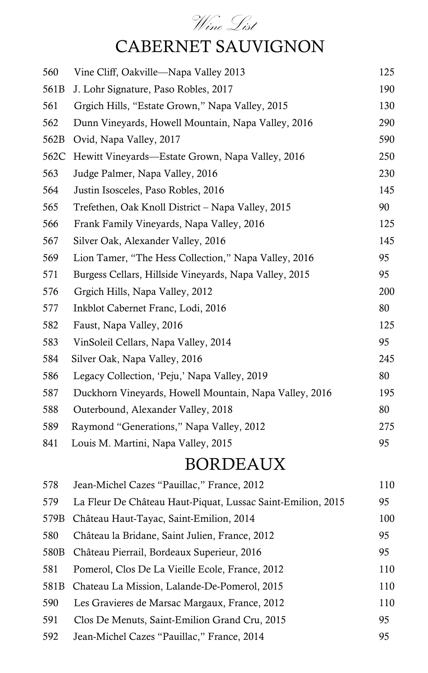# Wine List CABERNET SAUVIGNON

| 560              | Vine Cliff, Oakville—Napa Valley 2013                       | 125 |
|------------------|-------------------------------------------------------------|-----|
| 561B             | J. Lohr Signature, Paso Robles, 2017                        | 190 |
| 561              | Grgich Hills, "Estate Grown," Napa Valley, 2015             | 130 |
| 562              | Dunn Vineyards, Howell Mountain, Napa Valley, 2016          | 290 |
| 562B             | Ovid, Napa Valley, 2017                                     | 590 |
| 562C             | Hewitt Vineyards—Estate Grown, Napa Valley, 2016            | 250 |
| 563              | Judge Palmer, Napa Valley, 2016                             | 230 |
| 564              | Justin Isosceles, Paso Robles, 2016                         | 145 |
| 565              | Trefethen, Oak Knoll District – Napa Valley, 2015           | 90  |
| 566              | Frank Family Vineyards, Napa Valley, 2016                   | 125 |
| 567              | Silver Oak, Alexander Valley, 2016                          | 145 |
| 569              | Lion Tamer, "The Hess Collection," Napa Valley, 2016        | 95  |
| 571              | Burgess Cellars, Hillside Vineyards, Napa Valley, 2015      | 95  |
| 576              | Grgich Hills, Napa Valley, 2012                             | 200 |
| 577              | Inkblot Cabernet Franc, Lodi, 2016                          | 80  |
| 582              | Faust, Napa Valley, 2016                                    | 125 |
| 583              | VinSoleil Cellars, Napa Valley, 2014                        | 95  |
| 584              | Silver Oak, Napa Valley, 2016                               | 245 |
| 586              | Legacy Collection, 'Peju,' Napa Valley, 2019                | 80  |
| 587              | Duckhorn Vineyards, Howell Mountain, Napa Valley, 2016      | 195 |
| 588              | Outerbound, Alexander Valley, 2018                          | 80  |
| 589              | Raymond "Generations," Napa Valley, 2012                    | 275 |
| 841              | Louis M. Martini, Napa Valley, 2015                         | 95  |
|                  | BORDEAUX                                                    |     |
| 578              | Jean-Michel Cazes "Pauillac," France, 2012                  | 110 |
| 579              | La Fleur De Château Haut-Piquat, Lussac Saint-Emilion, 2015 | 95  |
| 579B             | Château Haut-Tayac, Saint-Emilion, 2014                     | 100 |
| 580              | Château la Bridane, Saint Julien, France, 2012              | 95  |
| 580 <sub>B</sub> | Château Pierrail, Bordeaux Superieur, 2016                  | 95  |
| 581              | Pomerol, Clos De La Vieille Ecole, France, 2012             | 110 |
| 581B             | Chateau La Mission, Lalande-De-Pomerol, 2015                | 110 |
| 590              | Les Gravieres de Marsac Margaux, France, 2012               | 110 |
| 591              | Clos De Menuts, Saint-Emilion Grand Cru, 2015               | 95  |
| 592              | Jean-Michel Cazes "Pauillac," France, 2014                  | 95  |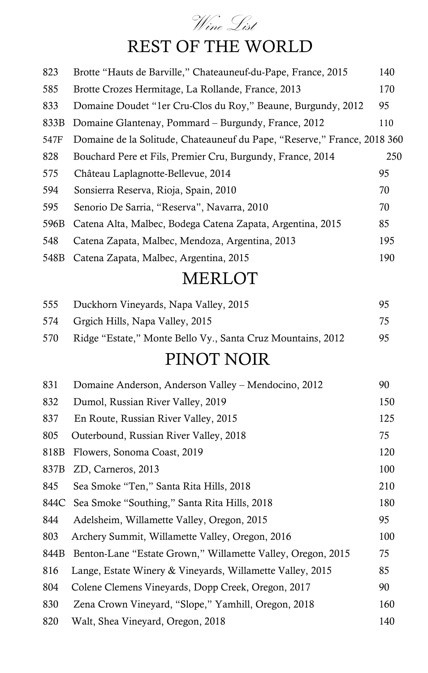# Wine List REST OF THE WORLD

| 823  | Brotte "Hauts de Barville," Chateauneuf-du-Pape, France, 2015            | 140 |
|------|--------------------------------------------------------------------------|-----|
| 585  | Brotte Crozes Hermitage, La Rollande, France, 2013                       | 170 |
| 833  | Domaine Doudet "1er Cru-Clos du Roy," Beaune, Burgundy, 2012             | 95  |
| 833B | Domaine Glantenay, Pommard – Burgundy, France, 2012                      | 110 |
| 547F | Domaine de la Solitude, Chateauneuf du Pape, "Reserve," France, 2018 360 |     |
| 828  | Bouchard Pere et Fils, Premier Cru, Burgundy, France, 2014               | 250 |
| 575  | Château Laplagnotte-Bellevue, 2014                                       | 95  |
| 594  | Sonsierra Reserva, Rioja, Spain, 2010                                    | 70  |
| 595  | Senorio De Sarria, "Reserva", Navarra, 2010                              | 70  |
| 596B | Catena Alta, Malbec, Bodega Catena Zapata, Argentina, 2015               | 85  |
| 548  | Catena Zapata, Malbec, Mendoza, Argentina, 2013                          | 195 |
| 548B | Catena Zapata, Malbec, Argentina, 2015                                   | 190 |
|      | <b>MERLOT</b>                                                            |     |
| 555  | Duckhorn Vineyards, Napa Valley, 2015                                    | 95  |
| 574  | Grgich Hills, Napa Valley, 2015                                          | 75  |
| 570  | Ridge "Estate," Monte Bello Vy., Santa Cruz Mountains, 2012              | 95  |
|      | PINOT NOIR                                                               |     |
| 831  | Domaine Anderson, Anderson Valley – Mendocino, 2012                      | 90  |
| 832  | Dumol, Russian River Valley, 2019                                        | 150 |
| 837  | En Route, Russian River Valley, 2015                                     | 125 |
| 805  | Outerbound, Russian River Valley, 2018                                   | 75  |
| 818B | Flowers, Sonoma Coast, 2019                                              | 120 |
| 837B | ZD, Carneros, 2013                                                       | 100 |
| 845  | Sea Smoke "Ten," Santa Rita Hills, 2018                                  | 210 |
| 844C | Sea Smoke "Southing," Santa Rita Hills, 2018                             | 180 |
| 844  | Adelsheim, Willamette Valley, Oregon, 2015                               | 95  |
| 803  | Archery Summit, Willamette Valley, Oregon, 2016                          | 100 |
| 844B | Benton-Lane "Estate Grown," Willamette Valley, Oregon, 2015              | 75  |
| 816  | Lange, Estate Winery & Vineyards, Willamette Valley, 2015                | 85  |
| 804  | Colene Clemens Vineyards, Dopp Creek, Oregon, 2017                       | 90  |
| 830  | Zena Crown Vineyard, "Slope," Yamhill, Oregon, 2018                      | 160 |
| 820  | Walt, Shea Vineyard, Oregon, 2018                                        | 140 |